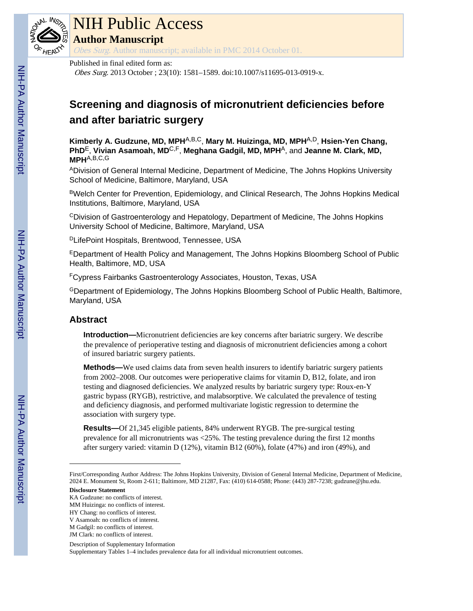

# NIH Public Access

**Author Manuscript**

Obes Surg. Author manuscript; available in PMC 2014 October 01.

#### Published in final edited form as:

Obes Surg. 2013 October ; 23(10): 1581–1589. doi:10.1007/s11695-013-0919-x.

# **Screening and diagnosis of micronutrient deficiencies before and after bariatric surgery**

**Kimberly A. Gudzune, MD, MPH**A,B,C, **Mary M. Huizinga, MD, MPH**A,D, **Hsien-Yen Chang, PhD**E, **Vivian Asamoah, MD**C,F, **Meghana Gadgil, MD, MPH**A, and **Jeanne M. Clark, MD, MPH**A,B,C,G

ADivision of General Internal Medicine, Department of Medicine, The Johns Hopkins University School of Medicine, Baltimore, Maryland, USA

BWelch Center for Prevention, Epidemiology, and Clinical Research, The Johns Hopkins Medical Institutions, Baltimore, Maryland, USA

 $\textdegree$ Division of Gastroenterology and Hepatology, Department of Medicine, The Johns Hopkins University School of Medicine, Baltimore, Maryland, USA

<sup>D</sup>LifePoint Hospitals, Brentwood, Tennessee, USA

<sup>E</sup>Department of Health Policy and Management, The Johns Hopkins Bloomberg School of Public Health, Baltimore, MD, USA

<sup>F</sup>Cypress Fairbanks Gastroenterology Associates, Houston, Texas, USA

<sup>G</sup>Department of Epidemiology, The Johns Hopkins Bloomberg School of Public Health, Baltimore, Maryland, USA

## **Abstract**

**Introduction—**Micronutrient deficiencies are key concerns after bariatric surgery. We describe the prevalence of perioperative testing and diagnosis of micronutrient deficiencies among a cohort of insured bariatric surgery patients.

**Methods—**We used claims data from seven health insurers to identify bariatric surgery patients from 2002–2008. Our outcomes were perioperative claims for vitamin D, B12, folate, and iron testing and diagnosed deficiencies. We analyzed results by bariatric surgery type: Roux-en-Y gastric bypass (RYGB), restrictive, and malabsorptive. We calculated the prevalence of testing and deficiency diagnosis, and performed multivariate logistic regression to determine the association with surgery type.

**Results—**Of 21,345 eligible patients, 84% underwent RYGB. The pre-surgical testing prevalence for all micronutrients was <25%. The testing prevalence during the first 12 months after surgery varied: vitamin D (12%), vitamin B12 (60%), folate (47%) and iron (49%), and

#### **Disclosure Statement**

KA Gudzune: no conflicts of interest.

Description of Supplementary Information

Supplementary Tables 1–4 includes prevalence data for all individual micronutrient outcomes.

First/Corresponding Author Address: The Johns Hopkins University, Division of General Internal Medicine, Department of Medicine, 2024 E. Monument St, Room 2-611; Baltimore, MD 21287, Fax: (410) 614-0588; Phone: (443) 287-7238; gudzune@jhu.edu.

MM Huizinga: no conflicts of interest.

HY Chang: no conflicts of interest.

V Asamoah: no conflicts of interest.

M Gadgil: no conflicts of interest.

JM Clark: no conflicts of interest.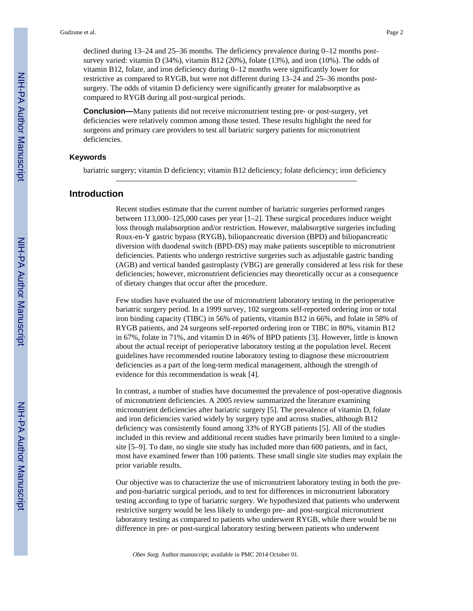declined during 13–24 and 25–36 months. The deficiency prevalence during 0–12 months postsurvey varied: vitamin D (34%), vitamin B12 (20%), folate (13%), and iron (10%). The odds of vitamin B12, folate, and iron deficiency during 0–12 months were significantly lower for restrictive as compared to RYGB, but were not different during 13–24 and 25–36 months postsurgery. The odds of vitamin D deficiency were significantly greater for malabsorptive as compared to RYGB during all post-surgical periods.

**Conclusion—**Many patients did not receive micronutrient testing pre- or post-surgery, yet deficiencies were relatively common among those tested. These results highlight the need for surgeons and primary care providers to test all bariatric surgery patients for micronutrient deficiencies.

#### **Keywords**

bariatric surgery; vitamin D deficiency; vitamin B12 deficiency; folate deficiency; iron deficiency

#### **Introduction**

Recent studies estimate that the current number of bariatric surgeries performed ranges between 113,000–125,000 cases per year [1–2]. These surgical procedures induce weight loss through malabsorption and/or restriction. However, malabsorptive surgeries including Roux-en-Y gastric bypass (RYGB), biliopancreatic diversion (BPD) and biliopancreatic diversion with duodenal switch (BPD-DS) may make patients susceptible to micronutrient deficiencies. Patients who undergo restrictive surgeries such as adjustable gastric banding (AGB) and vertical banded gastroplasty (VBG) are generally considered at less risk for these deficiencies; however, micronutrient deficiencies may theoretically occur as a consequence of dietary changes that occur after the procedure.

Few studies have evaluated the use of micronutrient laboratory testing in the perioperative bariatric surgery period. In a 1999 survey, 102 surgeons self-reported ordering iron or total iron binding capacity (TIBC) in 56% of patients, vitamin B12 in 66%, and folate in 58% of RYGB patients, and 24 surgeons self-reported ordering iron or TIBC in 80%, vitamin B12 in 67%, folate in 71%, and vitamin D in 46% of BPD patients [3]. However, little is known about the actual receipt of perioperative laboratory testing at the population level. Recent guidelines have recommended routine laboratory testing to diagnose these micronutrient deficiencies as a part of the long-term medical management, although the strength of evidence for this recommendation is weak [4].

In contrast, a number of studies have documented the prevalence of post-operative diagnosis of micronutrient deficiencies. A 2005 review summarized the literature examining micronutrient deficiencies after bariatric surgery [5]. The prevalence of vitamin D, folate and iron deficiencies varied widely by surgery type and across studies, although B12 deficiency was consistently found among 33% of RYGB patients [5]. All of the studies included in this review and additional recent studies have primarily been limited to a singlesite [5–9]. To date, no single site study has included more than 600 patients, and in fact, most have examined fewer than 100 patients. These small single site studies may explain the prior variable results.

Our objective was to characterize the use of micronutrient laboratory testing in both the preand post-bariatric surgical periods, and to test for differences in micronutrient laboratory testing according to type of bariatric surgery. We hypothesized that patients who underwent restrictive surgery would be less likely to undergo pre- and post-surgical micronutrient laboratory testing as compared to patients who underwent RYGB, while there would be no difference in pre- or post-surgical laboratory testing between patients who underwent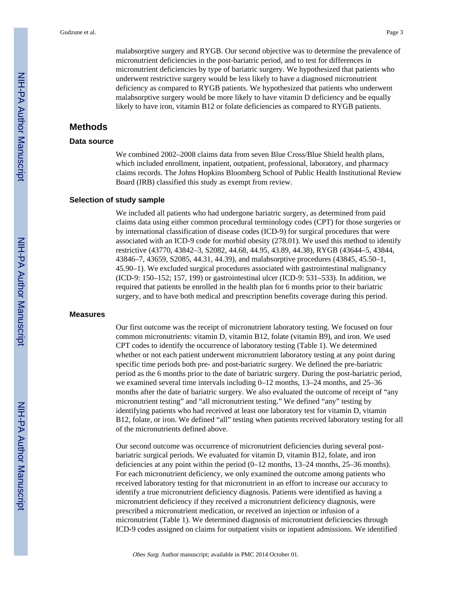malabsorptive surgery and RYGB. Our second objective was to determine the prevalence of micronutrient deficiencies in the post-bariatric period, and to test for differences in micronutrient deficiencies by type of bariatric surgery. We hypothesized that patients who underwent restrictive surgery would be less likely to have a diagnosed micronutrient deficiency as compared to RYGB patients. We hypothesized that patients who underwent malabsorptive surgery would be more likely to have vitamin D deficiency and be equally likely to have iron, vitamin B12 or folate deficiencies as compared to RYGB patients.

### **Methods**

#### **Data source**

We combined 2002–2008 claims data from seven Blue Cross/Blue Shield health plans, which included enrollment, inpatient, outpatient, professional, laboratory, and pharmacy claims records. The Johns Hopkins Bloomberg School of Public Health Institutional Review Board (IRB) classified this study as exempt from review.

#### **Selection of study sample**

We included all patients who had undergone bariatric surgery, as determined from paid claims data using either common procedural terminology codes (CPT) for those surgeries or by international classification of disease codes (ICD-9) for surgical procedures that were associated with an ICD-9 code for morbid obesity (278.01). We used this method to identify restrictive (43770, 43842–3, S2082, 44.68, 44.95, 43.89, 44.38), RYGB (43644–5, 43844, 43846–7, 43659, S2085, 44.31, 44.39), and malabsorptive procedures (43845, 45.50–1, 45.90–1). We excluded surgical procedures associated with gastrointestinal malignancy (ICD-9: 150–152; 157, 199) or gastrointestinal ulcer (ICD-9: 531–533). In addition, we required that patients be enrolled in the health plan for 6 months prior to their bariatric surgery, and to have both medical and prescription benefits coverage during this period.

#### **Measures**

Our first outcome was the receipt of micronutrient laboratory testing. We focused on four common micronutrients: vitamin D, vitamin B12, folate (vitamin B9), and iron. We used CPT codes to identify the occurrence of laboratory testing (Table 1). We determined whether or not each patient underwent micronutrient laboratory testing at any point during specific time periods both pre- and post-bariatric surgery. We defined the pre-bariatric period as the 6 months prior to the date of bariatric surgery. During the post-bariatric period, we examined several time intervals including 0–12 months, 13–24 months, and 25–36 months after the date of bariatric surgery. We also evaluated the outcome of receipt of "any micronutrient testing" and "all micronutrient testing." We defined "any" testing by identifying patients who had received at least one laboratory test for vitamin D, vitamin B12, folate, or iron. We defined "all" testing when patients received laboratory testing for all of the micronutrients defined above.

Our second outcome was occurrence of micronutrient deficiencies during several postbariatric surgical periods. We evaluated for vitamin D, vitamin B12, folate, and iron deficiencies at any point within the period (0–12 months, 13–24 months, 25–36 months). For each micronutrient deficiency, we only examined the outcome among patients who received laboratory testing for that micronutrient in an effort to increase our accuracy to identify a true micronutrient deficiency diagnosis. Patients were identified as having a micronutrient deficiency if they received a micronutrient deficiency diagnosis, were prescribed a micronutrient medication, or received an injection or infusion of a micronutrient (Table 1). We determined diagnosis of micronutrient deficiencies through ICD-9 codes assigned on claims for outpatient visits or inpatient admissions. We identified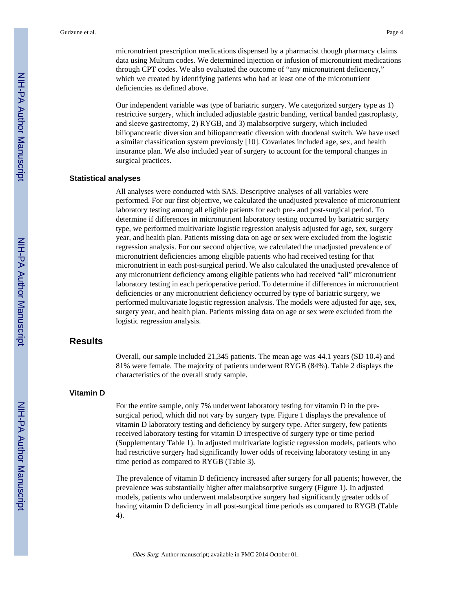micronutrient prescription medications dispensed by a pharmacist though pharmacy claims data using Multum codes. We determined injection or infusion of micronutrient medications through CPT codes. We also evaluated the outcome of "any micronutrient deficiency," which we created by identifying patients who had at least one of the micronutrient deficiencies as defined above.

Our independent variable was type of bariatric surgery. We categorized surgery type as 1) restrictive surgery, which included adjustable gastric banding, vertical banded gastroplasty, and sleeve gastrectomy, 2) RYGB, and 3) malabsorptive surgery, which included biliopancreatic diversion and biliopancreatic diversion with duodenal switch. We have used a similar classification system previously [10]. Covariates included age, sex, and health insurance plan. We also included year of surgery to account for the temporal changes in surgical practices.

#### **Statistical analyses**

All analyses were conducted with SAS. Descriptive analyses of all variables were performed. For our first objective, we calculated the unadjusted prevalence of micronutrient laboratory testing among all eligible patients for each pre- and post-surgical period. To determine if differences in micronutrient laboratory testing occurred by bariatric surgery type, we performed multivariate logistic regression analysis adjusted for age, sex, surgery year, and health plan. Patients missing data on age or sex were excluded from the logistic regression analysis. For our second objective, we calculated the unadjusted prevalence of micronutrient deficiencies among eligible patients who had received testing for that micronutrient in each post-surgical period. We also calculated the unadjusted prevalence of any micronutrient deficiency among eligible patients who had received "all" micronutrient laboratory testing in each perioperative period. To determine if differences in micronutrient deficiencies or any micronutrient deficiency occurred by type of bariatric surgery, we performed multivariate logistic regression analysis. The models were adjusted for age, sex, surgery year, and health plan. Patients missing data on age or sex were excluded from the logistic regression analysis.

#### **Results**

Overall, our sample included 21,345 patients. The mean age was 44.1 years (SD 10.4) and 81% were female. The majority of patients underwent RYGB (84%). Table 2 displays the characteristics of the overall study sample.

#### **Vitamin D**

For the entire sample, only 7% underwent laboratory testing for vitamin D in the presurgical period, which did not vary by surgery type. Figure 1 displays the prevalence of vitamin D laboratory testing and deficiency by surgery type. After surgery, few patients received laboratory testing for vitamin D irrespective of surgery type or time period (Supplementary Table 1). In adjusted multivariate logistic regression models, patients who had restrictive surgery had significantly lower odds of receiving laboratory testing in any time period as compared to RYGB (Table 3).

The prevalence of vitamin D deficiency increased after surgery for all patients; however, the prevalence was substantially higher after malabsorptive surgery (Figure 1). In adjusted models, patients who underwent malabsorptive surgery had significantly greater odds of having vitamin D deficiency in all post-surgical time periods as compared to RYGB (Table 4).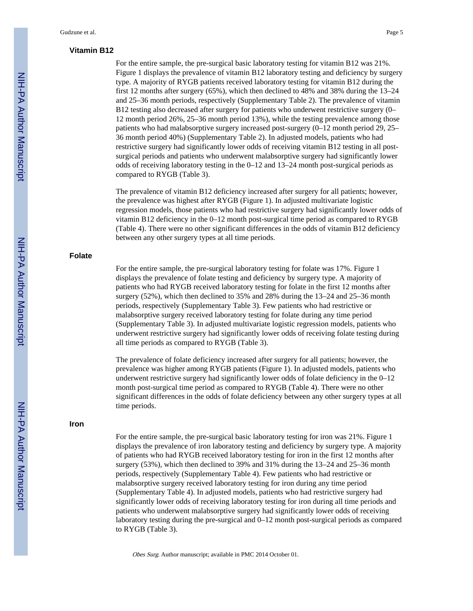### **Vitamin B12**

For the entire sample, the pre-surgical basic laboratory testing for vitamin B12 was 21%. Figure 1 displays the prevalence of vitamin B12 laboratory testing and deficiency by surgery type. A majority of RYGB patients received laboratory testing for vitamin B12 during the first 12 months after surgery (65%), which then declined to 48% and 38% during the 13–24 and 25–36 month periods, respectively (Supplementary Table 2). The prevalence of vitamin B12 testing also decreased after surgery for patients who underwent restrictive surgery (0– 12 month period 26%, 25–36 month period 13%), while the testing prevalence among those patients who had malabsorptive surgery increased post-surgery (0–12 month period 29, 25– 36 month period 40%) (Supplementary Table 2). In adjusted models, patients who had restrictive surgery had significantly lower odds of receiving vitamin B12 testing in all postsurgical periods and patients who underwent malabsorptive surgery had significantly lower odds of receiving laboratory testing in the 0–12 and 13–24 month post-surgical periods as compared to RYGB (Table 3).

The prevalence of vitamin B12 deficiency increased after surgery for all patients; however, the prevalence was highest after RYGB (Figure 1). In adjusted multivariate logistic regression models, those patients who had restrictive surgery had significantly lower odds of vitamin B12 deficiency in the 0–12 month post-surgical time period as compared to RYGB (Table 4). There were no other significant differences in the odds of vitamin B12 deficiency between any other surgery types at all time periods.

#### **Folate**

For the entire sample, the pre-surgical laboratory testing for folate was 17%. Figure 1 displays the prevalence of folate testing and deficiency by surgery type. A majority of patients who had RYGB received laboratory testing for folate in the first 12 months after surgery (52%), which then declined to 35% and 28% during the 13–24 and 25–36 month periods, respectively (Supplementary Table 3). Few patients who had restrictive or malabsorptive surgery received laboratory testing for folate during any time period (Supplementary Table 3). In adjusted multivariate logistic regression models, patients who underwent restrictive surgery had significantly lower odds of receiving folate testing during all time periods as compared to RYGB (Table 3).

The prevalence of folate deficiency increased after surgery for all patients; however, the prevalence was higher among RYGB patients (Figure 1). In adjusted models, patients who underwent restrictive surgery had significantly lower odds of folate deficiency in the 0–12 month post-surgical time period as compared to RYGB (Table 4). There were no other significant differences in the odds of folate deficiency between any other surgery types at all time periods.

#### **Iron**

For the entire sample, the pre-surgical basic laboratory testing for iron was 21%. Figure 1 displays the prevalence of iron laboratory testing and deficiency by surgery type. A majority of patients who had RYGB received laboratory testing for iron in the first 12 months after surgery (53%), which then declined to 39% and 31% during the 13–24 and 25–36 month periods, respectively (Supplementary Table 4). Few patients who had restrictive or malabsorptive surgery received laboratory testing for iron during any time period (Supplementary Table 4). In adjusted models, patients who had restrictive surgery had significantly lower odds of receiving laboratory testing for iron during all time periods and patients who underwent malabsorptive surgery had significantly lower odds of receiving laboratory testing during the pre-surgical and 0–12 month post-surgical periods as compared to RYGB (Table 3).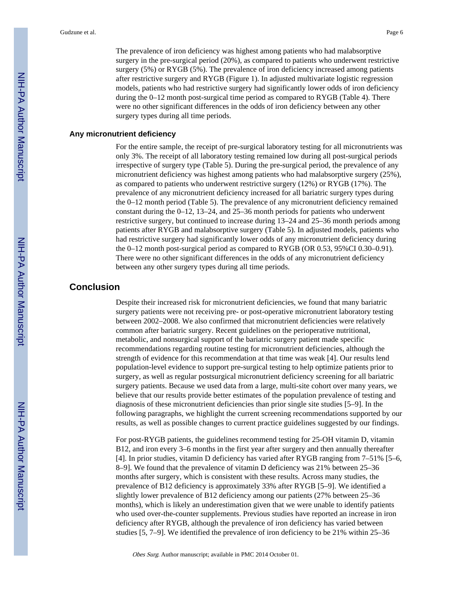The prevalence of iron deficiency was highest among patients who had malabsorptive surgery in the pre-surgical period (20%), as compared to patients who underwent restrictive surgery (5%) or RYGB (5%). The prevalence of iron deficiency increased among patients after restrictive surgery and RYGB (Figure 1). In adjusted multivariate logistic regression models, patients who had restrictive surgery had significantly lower odds of iron deficiency during the 0–12 month post-surgical time period as compared to RYGB (Table 4). There were no other significant differences in the odds of iron deficiency between any other surgery types during all time periods.

#### **Any micronutrient deficiency**

For the entire sample, the receipt of pre-surgical laboratory testing for all micronutrients was only 3%. The receipt of all laboratory testing remained low during all post-surgical periods irrespective of surgery type (Table 5). During the pre-surgical period, the prevalence of any micronutrient deficiency was highest among patients who had malabsorptive surgery (25%), as compared to patients who underwent restrictive surgery (12%) or RYGB (17%). The prevalence of any micronutrient deficiency increased for all bariatric surgery types during the 0–12 month period (Table 5). The prevalence of any micronutrient deficiency remained constant during the 0–12, 13–24, and 25–36 month periods for patients who underwent restrictive surgery, but continued to increase during 13–24 and 25–36 month periods among patients after RYGB and malabsorptive surgery (Table 5). In adjusted models, patients who had restrictive surgery had significantly lower odds of any micronutrient deficiency during the 0–12 month post-surgical period as compared to RYGB (OR 0.53, 95%CI 0.30–0.91). There were no other significant differences in the odds of any micronutrient deficiency between any other surgery types during all time periods.

#### **Conclusion**

Despite their increased risk for micronutrient deficiencies, we found that many bariatric surgery patients were not receiving pre- or post-operative micronutrient laboratory testing between 2002–2008. We also confirmed that micronutrient deficiencies were relatively common after bariatric surgery. Recent guidelines on the perioperative nutritional, metabolic, and nonsurgical support of the bariatric surgery patient made specific recommendations regarding routine testing for micronutrient deficiencies, although the strength of evidence for this recommendation at that time was weak [4]. Our results lend population-level evidence to support pre-surgical testing to help optimize patients prior to surgery, as well as regular postsurgical micronutrient deficiency screening for all bariatric surgery patients. Because we used data from a large, multi-site cohort over many years, we believe that our results provide better estimates of the population prevalence of testing and diagnosis of these micronutrient deficiencies than prior single site studies [5–9]. In the following paragraphs, we highlight the current screening recommendations supported by our results, as well as possible changes to current practice guidelines suggested by our findings.

For post-RYGB patients, the guidelines recommend testing for 25-OH vitamin D, vitamin B12, and iron every 3–6 months in the first year after surgery and then annually thereafter [4]. In prior studies, vitamin D deficiency has varied after RYGB ranging from 7–51% [5–6, 8–9]. We found that the prevalence of vitamin D deficiency was 21% between 25–36 months after surgery, which is consistent with these results. Across many studies, the prevalence of B12 deficiency is approximately 33% after RYGB [5–9]. We identified a slightly lower prevalence of B12 deficiency among our patients (27% between 25–36 months), which is likely an underestimation given that we were unable to identify patients who used over-the-counter supplements. Previous studies have reported an increase in iron deficiency after RYGB, although the prevalence of iron deficiency has varied between studies [5, 7–9]. We identified the prevalence of iron deficiency to be 21% within 25–36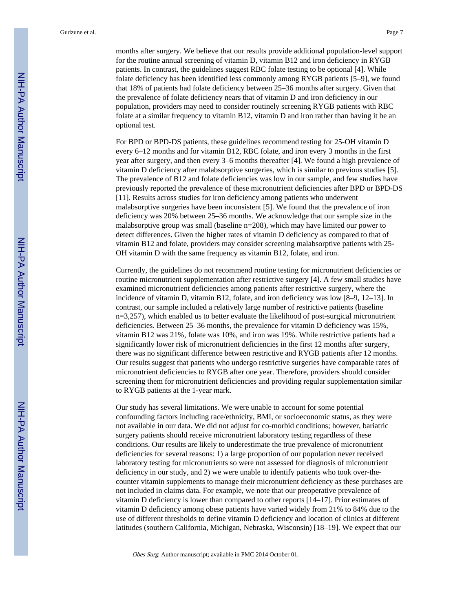Gudzune et al. Page 7

months after surgery. We believe that our results provide additional population-level support for the routine annual screening of vitamin D, vitamin B12 and iron deficiency in RYGB patients. In contrast, the guidelines suggest RBC folate testing to be optional [4]. While folate deficiency has been identified less commonly among RYGB patients [5–9], we found that 18% of patients had folate deficiency between 25–36 months after surgery. Given that the prevalence of folate deficiency nears that of vitamin D and iron deficiency in our population, providers may need to consider routinely screening RYGB patients with RBC folate at a similar frequency to vitamin B12, vitamin D and iron rather than having it be an optional test.

For BPD or BPD-DS patients, these guidelines recommend testing for 25-OH vitamin D every 6–12 months and for vitamin B12, RBC folate, and iron every 3 months in the first year after surgery, and then every 3–6 months thereafter [4]. We found a high prevalence of vitamin D deficiency after malabsorptive surgeries, which is similar to previous studies [5]. The prevalence of B12 and folate deficiencies was low in our sample, and few studies have previously reported the prevalence of these micronutrient deficiencies after BPD or BPD-DS [11]. Results across studies for iron deficiency among patients who underwent malabsorptive surgeries have been inconsistent [5]. We found that the prevalence of iron deficiency was 20% between 25–36 months. We acknowledge that our sample size in the malabsorptive group was small (baseline n=208), which may have limited our power to detect differences. Given the higher rates of vitamin D deficiency as compared to that of vitamin B12 and folate, providers may consider screening malabsorptive patients with 25- OH vitamin D with the same frequency as vitamin B12, folate, and iron.

Currently, the guidelines do not recommend routine testing for micronutrient deficiencies or routine micronutrient supplementation after restrictive surgery [4]. A few small studies have examined micronutrient deficiencies among patients after restrictive surgery, where the incidence of vitamin D, vitamin B12, folate, and iron deficiency was low [8–9, 12–13]. In contrast, our sample included a relatively large number of restrictive patients (baseline n=3,257), which enabled us to better evaluate the likelihood of post-surgical micronutrient deficiencies. Between 25–36 months, the prevalence for vitamin D deficiency was 15%, vitamin B12 was 21%, folate was 10%, and iron was 19%. While restrictive patients had a significantly lower risk of micronutrient deficiencies in the first 12 months after surgery, there was no significant difference between restrictive and RYGB patients after 12 months. Our results suggest that patients who undergo restrictive surgeries have comparable rates of micronutrient deficiencies to RYGB after one year. Therefore, providers should consider screening them for micronutrient deficiencies and providing regular supplementation similar to RYGB patients at the 1-year mark.

Our study has several limitations. We were unable to account for some potential confounding factors including race/ethnicity, BMI, or socioeconomic status, as they were not available in our data. We did not adjust for co-morbid conditions; however, bariatric surgery patients should receive micronutrient laboratory testing regardless of these conditions. Our results are likely to underestimate the true prevalence of micronutrient deficiencies for several reasons: 1) a large proportion of our population never received laboratory testing for micronutrients so were not assessed for diagnosis of micronutrient deficiency in our study, and 2) we were unable to identify patients who took over-thecounter vitamin supplements to manage their micronutrient deficiency as these purchases are not included in claims data. For example, we note that our preoperative prevalence of vitamin D deficiency is lower than compared to other reports [14–17]. Prior estimates of vitamin D deficiency among obese patients have varied widely from 21% to 84% due to the use of different thresholds to define vitamin D deficiency and location of clinics at different latitudes (southern California, Michigan, Nebraska, Wisconsin) [18–19]. We expect that our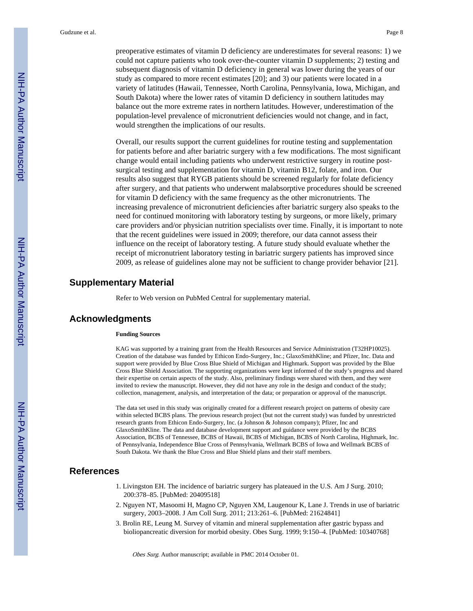preoperative estimates of vitamin D deficiency are underestimates for several reasons: 1) we could not capture patients who took over-the-counter vitamin D supplements; 2) testing and subsequent diagnosis of vitamin D deficiency in general was lower during the years of our study as compared to more recent estimates [20]; and 3) our patients were located in a variety of latitudes (Hawaii, Tennessee, North Carolina, Pennsylvania, Iowa, Michigan, and South Dakota) where the lower rates of vitamin D deficiency in southern latitudes may balance out the more extreme rates in northern latitudes. However, underestimation of the population-level prevalence of micronutrient deficiencies would not change, and in fact, would strengthen the implications of our results.

Overall, our results support the current guidelines for routine testing and supplementation for patients before and after bariatric surgery with a few modifications. The most significant change would entail including patients who underwent restrictive surgery in routine postsurgical testing and supplementation for vitamin D, vitamin B12, folate, and iron. Our results also suggest that RYGB patients should be screened regularly for folate deficiency after surgery, and that patients who underwent malabsorptive procedures should be screened for vitamin D deficiency with the same frequency as the other micronutrients. The increasing prevalence of micronutrient deficiencies after bariatric surgery also speaks to the need for continued monitoring with laboratory testing by surgeons, or more likely, primary care providers and/or physician nutrition specialists over time. Finally, it is important to note that the recent guidelines were issued in 2009; therefore, our data cannot assess their influence on the receipt of laboratory testing. A future study should evaluate whether the receipt of micronutrient laboratory testing in bariatric surgery patients has improved since 2009, as release of guidelines alone may not be sufficient to change provider behavior [21].

#### **Supplementary Material**

Refer to Web version on PubMed Central for supplementary material.

#### **Acknowledgments**

#### **Funding Sources**

KAG was supported by a training grant from the Health Resources and Service Administration (T32HP10025). Creation of the database was funded by Ethicon Endo-Surgery, Inc.; GlaxoSmithKline; and Pfizer, Inc. Data and support were provided by Blue Cross Blue Shield of Michigan and Highmark. Support was provided by the Blue Cross Blue Shield Association. The supporting organizations were kept informed of the study's progress and shared their expertise on certain aspects of the study. Also, preliminary findings were shared with them, and they were invited to review the manuscript. However, they did not have any role in the design and conduct of the study; collection, management, analysis, and interpretation of the data; or preparation or approval of the manuscript.

The data set used in this study was originally created for a different research project on patterns of obesity care within selected BCBS plans. The previous research project (but not the current study) was funded by unrestricted research grants from Ethicon Endo-Surgery, Inc. (a Johnson & Johnson company); Pfizer, Inc and GlaxoSmithKline. The data and database development support and guidance were provided by the BCBS Association, BCBS of Tennessee, BCBS of Hawaii, BCBS of Michigan, BCBS of North Carolina, Highmark, Inc. of Pennsylvania, Independence Blue Cross of Pennsylvania, Wellmark BCBS of Iowa and Wellmark BCBS of South Dakota. We thank the Blue Cross and Blue Shield plans and their staff members.

#### **References**

- 1. Livingston EH. The incidence of bariatric surgery has plateaued in the U.S. Am J Surg. 2010; 200:378–85. [PubMed: 20409518]
- 2. Nguyen NT, Masoomi H, Magno CP, Nguyen XM, Laugenour K, Lane J. Trends in use of bariatric surgery, 2003–2008. J Am Coll Surg. 2011; 213:261–6. [PubMed: 21624841]
- 3. Brolin RE, Leung M. Survey of vitamin and mineral supplementation after gastric bypass and bioliopancreatic diversion for morbid obesity. Obes Surg. 1999; 9:150–4. [PubMed: 10340768]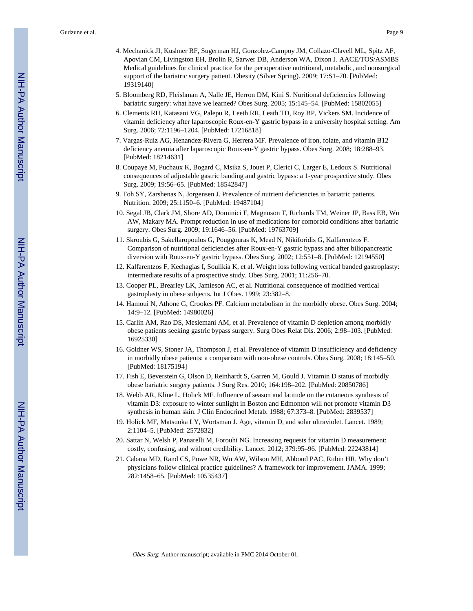- 4. Mechanick JI, Kushner RF, Sugerman HJ, Gonzolez-Campoy JM, Collazo-Clavell ML, Spitz AF, Apovian CM, Livingston EH, Brolin R, Sarwer DB, Anderson WA, Dixon J. AACE/TOS/ASMBS Medical guidelines for clinical practice for the perioperative nutritional, metabolic, and nonsurgical support of the bariatric surgery patient. Obesity (Silver Spring). 2009; 17:S1–70. [PubMed: 19319140]
- 5. Bloomberg RD, Fleishman A, Nalle JE, Herron DM, Kini S. Nuritional deficiencies following bariatric surgery: what have we learned? Obes Surg. 2005; 15:145–54. [PubMed: 15802055]
- 6. Clements RH, Katasani VG, Palepu R, Leeth RR, Leath TD, Roy BP, Vickers SM. Incidence of vitamin deficiency after laparoscopic Roux-en-Y gastric bypass in a university hospital setting. Am Surg. 2006; 72:1196–1204. [PubMed: 17216818]
- 7. Vargas-Ruiz AG, Henandez-Rivera G, Herrera MF. Prevalence of iron, folate, and vitamin B12 deficiency anemia after laparoscopic Roux-en-Y gastric bypass. Obes Surg. 2008; 18:288–93. [PubMed: 18214631]
- 8. Coupaye M, Puchaux K, Bogard C, Msika S, Jouet P, Clerici C, Larger E, Ledoux S. Nutritional consequences of adjustable gastric banding and gastric bypass: a 1-year prospective study. Obes Surg. 2009; 19:56–65. [PubMed: 18542847]
- 9. Toh SY, Zarshenas N, Jorgensen J. Prevalence of nutrient deficiencies in bariatric patients. Nutrition. 2009; 25:1150–6. [PubMed: 19487104]
- 10. Segal JB, Clark JM, Shore AD, Dominici F, Magnuson T, Richards TM, Weiner JP, Bass EB, Wu AW, Makary MA. Prompt reduction in use of medications for comorbid conditions after bariatric surgery. Obes Surg. 2009; 19:1646–56. [PubMed: 19763709]
- 11. Skroubis G, Sakellaropoulos G, Pouggouras K, Mead N, Nikiforidis G, Kalfarentzos F. Comparison of nutritional deficiencies after Roux-en-Y gastric bypass and after biliopancreatic diversion with Roux-en-Y gastric bypass. Obes Surg. 2002; 12:551–8. [PubMed: 12194550]
- 12. Kalfarentzos F, Kechagias I, Soulikia K, et al. Weight loss following vertical banded gastroplasty: intermediate results of a prospective study. Obes Surg. 2001; 11:256–70.
- 13. Cooper PL, Brearley LK, Jamieson AC, et al. Nutritional consequence of modified vertical gastroplasty in obese subjects. Int J Obes. 1999; 23:382–8.
- 14. Hamoui N, Athone G, Crookes PF. Calcium metabolism in the morbidly obese. Obes Surg. 2004; 14:9–12. [PubMed: 14980026]
- 15. Carlin AM, Rao DS, Meslemani AM, et al. Prevalence of vitamin D depletion among morbidly obese patients seeking gastric bypass surgery. Surg Obes Relat Dis. 2006; 2:98–103. [PubMed: 16925330]
- 16. Goldner WS, Stoner JA, Thompson J, et al. Prevalence of vitamin D insufficiency and deficiency in morbidly obese patients: a comparison with non-obese controls. Obes Surg. 2008; 18:145–50. [PubMed: 18175194]
- 17. Fish E, Beverstein G, Olson D, Reinhardt S, Garren M, Gould J. Vitamin D status of morbidly obese bariatric surgery patients. J Surg Res. 2010; 164:198–202. [PubMed: 20850786]
- 18. Webb AR, Kline L, Holick MF. Influence of season and latitude on the cutaneous synthesis of vitamin D3: exposure to winter sunlight in Boston and Edmonton will not promote vitamin D3 synthesis in human skin. J Clin Endocrinol Metab. 1988; 67:373–8. [PubMed: 2839537]
- 19. Holick MF, Matsuoka LY, Wortsman J. Age, vitamin D, and solar ultraviolet. Lancet. 1989; 2:1104–5. [PubMed: 2572832]
- 20. Sattar N, Welsh P, Panarelli M, Forouhi NG. Increasing requests for vitamin D measurement: costly, confusing, and without credibility. Lancet. 2012; 379:95–96. [PubMed: 22243814]
- 21. Cabana MD, Rand CS, Powe NR, Wu AW, Wilson MH, Abboud PAC, Rubin HR. Why don't physicians follow clinical practice guidelines? A framework for improvement. JAMA. 1999; 282:1458–65. [PubMed: 10535437]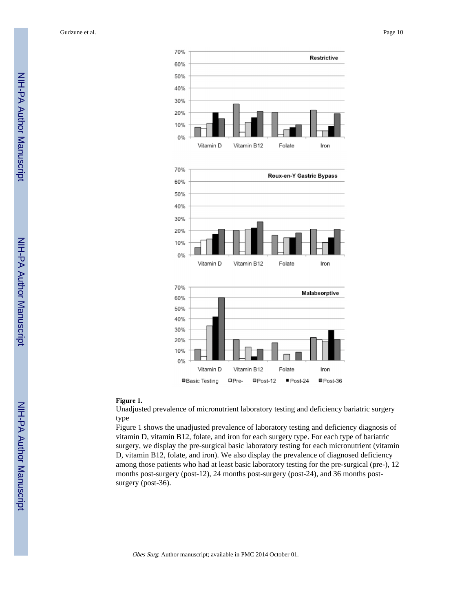Gudzune et al. Page 10







#### **Figure 1.**

Unadjusted prevalence of micronutrient laboratory testing and deficiency bariatric surgery type

Figure 1 shows the unadjusted prevalence of laboratory testing and deficiency diagnosis of vitamin D, vitamin B12, folate, and iron for each surgery type. For each type of bariatric surgery, we display the pre-surgical basic laboratory testing for each micronutrient (vitamin D, vitamin B12, folate, and iron). We also display the prevalence of diagnosed deficiency among those patients who had at least basic laboratory testing for the pre-surgical (pre-), 12 months post-surgery (post-12), 24 months post-surgery (post-24), and 36 months postsurgery (post-36).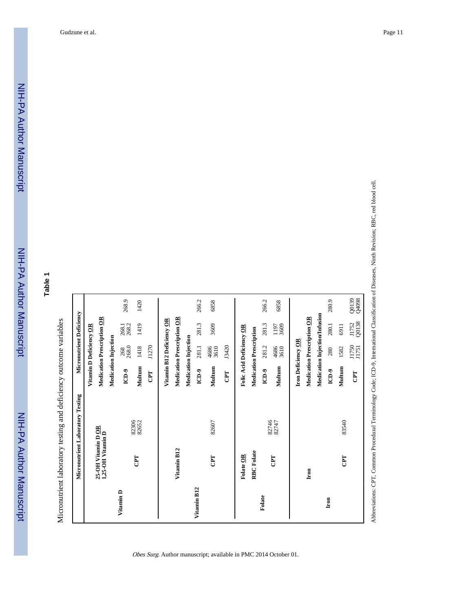268.9

NIH-PA Author Manuscript

NIH-PA Author Manuscript

|             |                                        | Micronutrient Laboratory Testing |                                   | Micronutrient Deficiency |                |                |
|-------------|----------------------------------------|----------------------------------|-----------------------------------|--------------------------|----------------|----------------|
|             |                                        |                                  | Vitamin D Deficiency OR           |                          |                |                |
|             | 25-OH Vitamin DOR<br>1,25-OH Vitamin D |                                  | <b>Medication Prescription OR</b> |                          |                |                |
|             |                                        |                                  | <b>Medication Injection</b>       |                          |                |                |
| Vitamin D   |                                        |                                  | ICD-9                             | 268.0<br>268             | 268.2<br>268.1 | 268.9          |
|             | CPT                                    | 82306<br>82652                   | Multum                            | 1418                     | 1419           | 1420           |
|             |                                        |                                  | CPT                               | J1270                    |                |                |
|             |                                        |                                  | Vitamin B12 Deficiency OR         |                          |                |                |
|             | Vitamin B12                            |                                  | <b>Medication Prescription OR</b> |                          |                |                |
|             |                                        |                                  | <b>Medication Injection</b>       |                          |                |                |
| Vitamin B12 |                                        |                                  | ICD-9                             | 281.1                    | 281.3          | 266.2          |
|             | CPT                                    | 82607                            | Multum                            | 4686<br>3610             | 3609           | 6858           |
|             |                                        |                                  | E                                 | J3420                    |                |                |
|             | Folate OR                              |                                  | Folic Acid Deficiency OR          |                          |                |                |
|             | RBC Folate                             |                                  | Medication Prescription           |                          |                |                |
| Folate      |                                        | 82746                            | ICD-9                             | 281.2                    | 281.3          | 266.2          |
|             | CPT                                    | 82747                            | Multum                            | 4686<br>3610             | 3609<br>1197   | 6858           |
|             |                                        |                                  | Iron Deficiency OR                |                          |                |                |
|             | Iron                                   |                                  | Medication Prescription OR        |                          |                |                |
|             |                                        |                                  | Medication Injection/Infusion     |                          |                |                |
| Iron        |                                        |                                  | ICD-9                             | 280                      | 280.1          | 280.9          |
|             | CPT                                    | 83540                            | Multum                            | 1582                     | 6911           |                |
|             |                                        |                                  | <b>CPT</b>                        | J1750<br>J1751           | J1752<br>Q0138 | 860RD<br>6610D |
|             |                                        |                                  |                                   |                          |                |                |

266.2

266.2

Obes Surg. Author manuscript; available in PMC 2014 October 01.

Abbreviations: CPT, Common Procedural Terminology Code; ICD-9, International Classification of Diseases, Ninth Revision; RBC, red blood cell. Abbreviations: CPT, Common Procedural Terminology Code; ICD-9, International Classification of Diseases, Ninth Revision; RBC, red blood cell.

Q0139<br>Q4098

280.9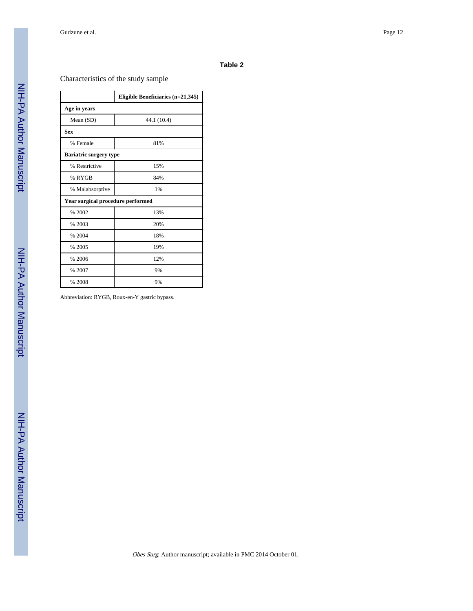# Characteristics of the study sample

|                                   | Eligible Beneficiaries $(n=21,345)$ |
|-----------------------------------|-------------------------------------|
| Age in years                      |                                     |
| Mean (SD)                         | 44.1 (10.4)                         |
| <b>Sex</b>                        |                                     |
| % Female                          | 81%                                 |
| <b>Bariatric surgery type</b>     |                                     |
| % Restrictive                     | 15%                                 |
| % RYGB                            | 84%                                 |
| % Malabsorptive                   | 1%                                  |
| Year surgical procedure performed |                                     |
| % 2002                            | 13%                                 |
| % 2003                            | 20%                                 |
| % 2004                            | 18%                                 |
| % 2005                            | 19%                                 |
| % 2006                            | 12%                                 |
| % 2007                            | 9%                                  |
| % 2008                            | 9%                                  |

Abbreviation: RYGB, Roux-en-Y gastric bypass.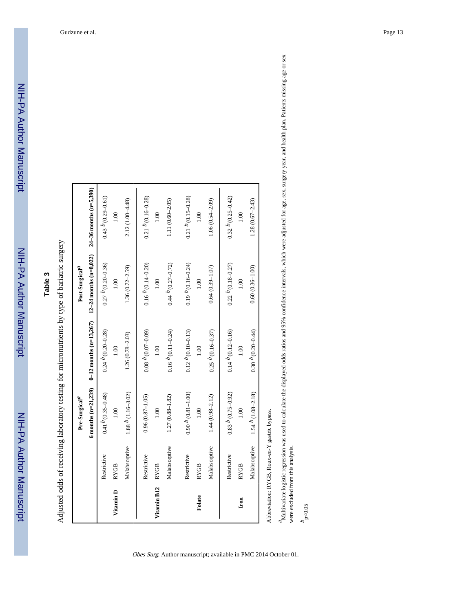Adjusted odds of receiving laboratory testing for micronutrients by type of bariatric surgery Adjusted odds of receiving laboratory testing for micronutrients by type of bariatric surgery

| Malabsorptive<br>Restrictive<br>Restrictive<br><b>RYGB</b><br><b>RYGB</b><br>Vitamin B12<br>Vitamin D | 6 months $(n=21,239)$<br>$1.88$ $b$ (1.16-3.02)<br>$0.41b$ (0.35-0.48)<br>1.00 | $0-12$ months (n=13,267) | $12-24$ months (n=8,022)               | $24-36$ months (n=5,390) |
|-------------------------------------------------------------------------------------------------------|--------------------------------------------------------------------------------|--------------------------|----------------------------------------|--------------------------|
|                                                                                                       |                                                                                |                          |                                        |                          |
|                                                                                                       |                                                                                | $0.24~^{D}(0.20 - 0.28)$ | $0.27~p~(0.20 - 0.36)$                 | $0.43~^{b}(0.29 - 0.61)$ |
|                                                                                                       |                                                                                | 1.00                     | 0.001                                  | 1.00                     |
|                                                                                                       |                                                                                | $1.26(0.78 - 2.03)$      | $1.36(0.72 - 2.59)$                    | 2.12 (1.00-4.48)         |
|                                                                                                       | $0.96(0.87 - 1.05)$                                                            | $0.08~^{b}$ (0.07-0.09)  | $0.16\ ^{b}\left( 0.14 - 0.20 \right)$ | $0.21\ ^{b}(0.16-0.28)$  |
|                                                                                                       | 0.10                                                                           | 1.00                     | 0.10                                   | 0.10                     |
| Malabsorptive                                                                                         | $1.27(0.88 - 1.82)$                                                            | $0.16 p$ (0.11-0.24)     | $0.44~b~(0.27-0.72)$                   | $1.11(0.60 - 2.05)$      |
| Restrictive                                                                                           | $0.90 p$ (0.81-1.00)                                                           | $0.12 P(0.10 - 0.13)$    | $0.19 P(0.16 - 0.24)$                  | $0.21~^{b}(0.15-0.28)$   |
| <b>RYGB</b><br>Folate                                                                                 | 00.1                                                                           | 1.00                     | 00.1                                   | 00.1                     |
| Malabsorptive                                                                                         | $1.44(0.98 - 2.12)$                                                            | $0.25~b(0.16 - 0.37)$    | $0.64(0.39 - 1.07)$                    | $1.06(0.54 - 2.09)$      |
| Restrictive                                                                                           | $0.83~^{b}$ (0.75-0.92)                                                        | $0.14 p$ (0.12-0.16)     | $0.22~^{D}$ (0.18-0.27)                | $0.32 p$ $(0.25 - 0.42)$ |
| <b>RYGB</b><br>Iron                                                                                   | 1.00                                                                           | 00.1                     | 00.1                                   | $\frac{8}{1}$            |
| Malabsorptive                                                                                         | $1.54$ $b$ (1.08-2.18)                                                         | $0.30 p$ $(0.20 - 0.44)$ | $0.60(0.36 - 1.00)$                    | $1.28(0.67 - 2.43)$      |

Obes Surg. Author manuscript; available in PMC 2014 October 01.

<sup>4</sup>Multivariate logistic regression was used to calculate the displayed odds ratios and 95% confidence intervals, which were adjusted for age, sex, surgery year, and health plan. Patients missing age or sex<br>were excluded f Multivariate logistic regression was used to calculate the displayed odds ratios and 95% confidence intervals, which were adjusted for age, sex, surgery year, and health plan. Patients missing age or sex were excluded from this analysis.

 $b_{\rm p<0.05}$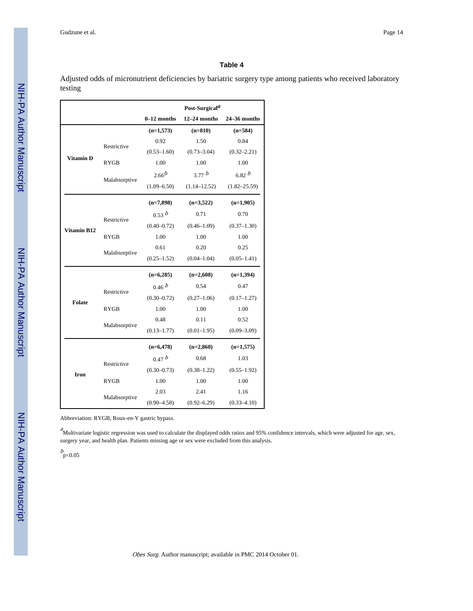Adjusted odds of micronutrient deficiencies by bariatric surgery type among patients who received laboratory testing

|                    |               |                 | Post-Surgical <sup>a</sup> |                  |
|--------------------|---------------|-----------------|----------------------------|------------------|
|                    |               | $0-12$ months   | $12-24$ months             | $24 - 36$ months |
|                    |               | $(n=1,573)$     | $(n=810)$                  | $(n=584)$        |
|                    | Restrictive   | 0.92            | 1.50                       | 0.84             |
|                    |               | $(0.53 - 1.60)$ | $(0.73 - 3.04)$            | $(0.32 - 2.21)$  |
| <b>Vitamin D</b>   | <b>RYGB</b>   | 1.00            | 1.00                       | 1.00             |
|                    | Malabsorptive | $2.66^{b}$      | 3.77 b                     | 6.82 b           |
|                    |               | $(1.09 - 6.50)$ | $(1.14 - 12.52)$           | $(1.82 - 25.59)$ |
|                    |               | $(n=7,898)$     | $(n=3,522)$                | $(n=1,905)$      |
|                    | Restrictive   | 0.53 b          | 0.71                       | 0.70             |
| <b>Vitamin B12</b> |               | $(0.40 - 0.72)$ | $(0.46 - 1.09)$            | $(0.37 - 1.30)$  |
|                    | <b>RYGB</b>   | 1.00            | 1.00                       | 1.00             |
|                    | Malabsorptive | 0.61            | 0.20                       | 0.25             |
|                    |               | $(0.25 - 1.52)$ | $(0.04 - 1.04)$            | $(0.05 - 1.41)$  |
|                    |               | $(n=6,285)$     | $(n=2,608)$                | $(n=1,394)$      |
|                    | Restrictive   | 0.46 b          | 0.54                       | 0.47             |
| <b>Folate</b>      |               | $(0.30 - 0.72)$ | $(0.27 - 1.06)$            | $(0.17 - 1.27)$  |
|                    | <b>RYGB</b>   | 1.00            | 1.00                       | 1.00             |
|                    | Malabsorptive | 0.48            | 0.11                       | 0.52             |
|                    |               | $(0.13 - 1.77)$ | $(0.01 - 1.95)$            | $(0.09 - 3.09)$  |
|                    |               | $(n=6, 478)$    | $(n=2,860)$                | $(n=1,575)$      |
|                    | Restrictive   | 0.47 b          | 0.68                       | 1.03             |
| Iron               |               | $(0.30 - 0.73)$ | $(0.38 - 1.22)$            | $(0.55 - 1.92)$  |
|                    | <b>RYGB</b>   | 1.00            | 1.00                       | 1.00             |
|                    |               | 2.03            | 2.41                       | 1.16             |
|                    | Malabsorptive | $(0.90 - 4.58)$ | $(0.92 - 6.29)$            | $(0.33 - 4.10)$  |

Abbreviation: RYGB, Roux-en-Y gastric bypass.

 $^a$ Multivariate logistic regression was used to calculate the displayed odds ratios and 95% confidence intervals, which were adjusted for age, sex, surgery year, and health plan. Patients missing age or sex were excluded from this analysis.

 $b_{\text{p} < 0.05}$